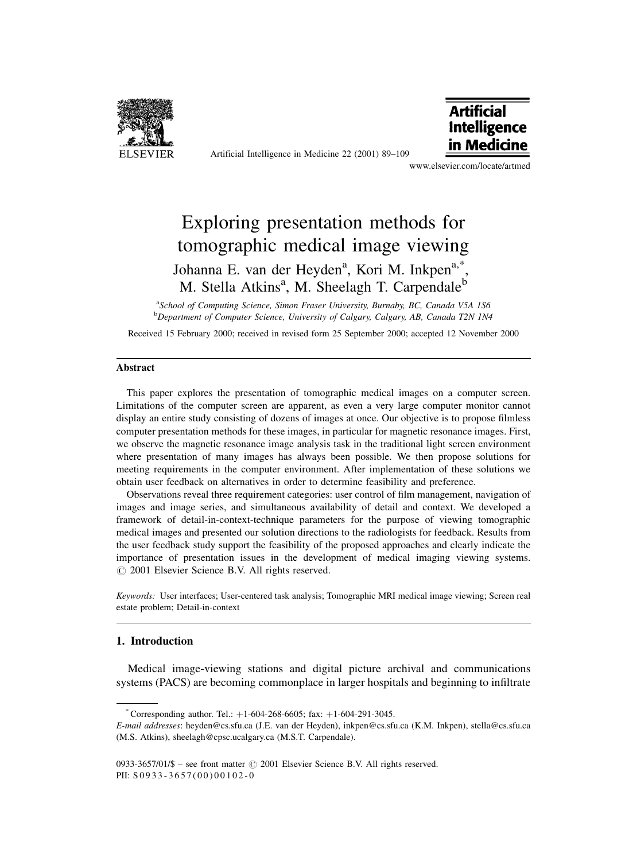

Artificial Intelligence in Medicine 22 (2001) 89-109



www.elsevier.com/locate/artmed

# Exploring presentation methods for tomographic medical image viewing Johanna E. van der Heyden<sup>a</sup>, Kori M. Inkpen<sup>a,\*</sup>. M. Stella Atkins<sup>a</sup>, M. Sheelagh T. Carpendale<sup>b</sup>

<sup>a</sup>School of Computing Science, Simon Fraser University, Burnaby, BC, Canada V5A 1S6 <sup>b</sup>Department of Computer Science, University of Calgary, Calgary, AB, Canada T2N 1N4

Received 15 February 2000; received in revised form 25 September 2000; accepted 12 November 2000

#### **Abstract**

This paper explores the presentation of tomographic medical images on a computer screen. Limitations of the computer screen are apparent, as even a very large computer monitor cannot display an entire study consisting of dozens of images at once. Our objective is to propose filmless computer presentation methods for these images, in particular for magnetic resonance images. First, we observe the magnetic resonance image analysis task in the traditional light screen environment where presentation of many images has always been possible. We then propose solutions for meeting requirements in the computer environment. After implementation of these solutions we obtain user feedback on alternatives in order to determine feasibility and preference.

Observations reveal three requirement categories: user control of film management, navigation of images and image series, and simultaneous availability of detail and context. We developed a framework of detail-in-context-technique parameters for the purpose of viewing tomographic medical images and presented our solution directions to the radiologists for feedback. Results from the user feedback study support the feasibility of the proposed approaches and clearly indicate the importance of presentation issues in the development of medical imaging viewing systems. © 2001 Elsevier Science B.V. All rights reserved.

Keywords: User interfaces; User-centered task analysis; Tomographic MRI medical image viewing; Screen real estate problem; Detail-in-context

## 1. Introduction

Medical image-viewing stations and digital picture archival and communications systems (PACS) are becoming commonplace in larger hospitals and beginning to infiltrate

<sup>\*</sup> Corresponding author. Tel.:  $+1-604-268-6605$ ; fax:  $+1-604-291-3045$ .

E-mail addresses: heyden@cs.sfu.ca (J.E. van der Heyden), inkpen@cs.sfu.ca (K.M. Inkpen), stella@cs.sfu.ca (M.S. Atkins), sheelagh@cpsc.ucalgary.ca (M.S.T. Carpendale).

<sup>0933-3657/01/\$ –</sup> see front matter  $\odot$  2001 Elsevier Science B.V. All rights reserved. PII: S0933-3657(00)00102-0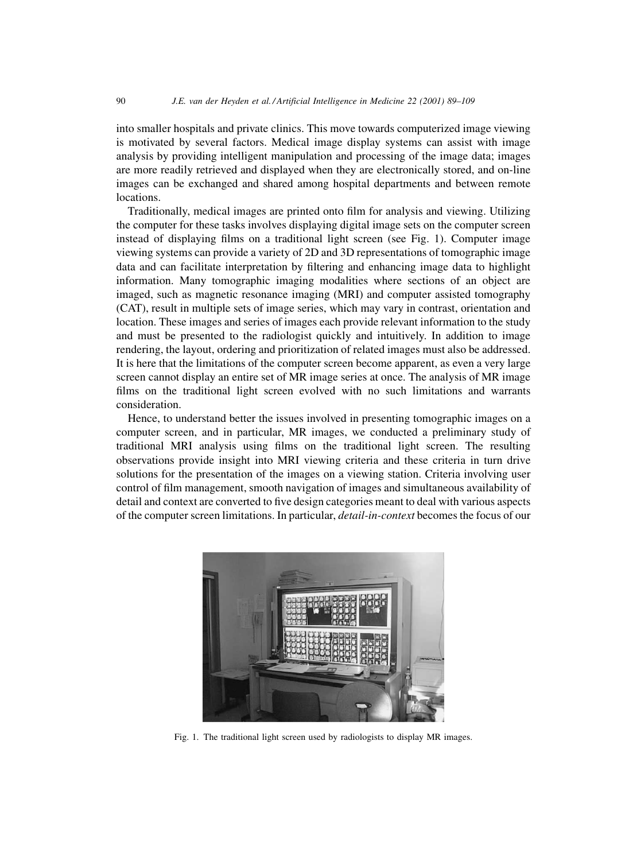90

into smaller hospitals and private clinics. This move towards computerized image viewing is motivated by several factors. Medical image display systems can assist with image analysis by providing intelligent manipulation and processing of the image data; images are more readily retrieved and displayed when they are electronically stored, and on-line images can be exchanged and shared among hospital departments and between remote locations.

Traditionally, medical images are printed onto film for analysis and viewing. Utilizing the computer for these tasks involves displaying digital image sets on the computer screen instead of displaying films on a traditional light screen (see Fig. 1). Computer image viewing systems can provide a variety of 2D and 3D representations of tomographic image data and can facilitate interpretation by filtering and enhancing image data to highlight information. Many tomographic imaging modalities where sections of an object are imaged, such as magnetic resonance imaging (MRI) and computer assisted tomography (CAT), result in multiple sets of image series, which may vary in contrast, orientation and location. These images and series of images each provide relevant information to the study and must be presented to the radiologist quickly and intuitively. In addition to image rendering, the layout, ordering and prioritization of related images must also be addressed. It is here that the limitations of the computer screen become apparent, as even a very large screen cannot display an entire set of MR image series at once. The analysis of MR image films on the traditional light screen evolved with no such limitations and warrants consideration.

Hence, to understand better the issues involved in presenting tomographic images on a computer screen, and in particular, MR images, we conducted a preliminary study of traditional MRI analysis using films on the traditional light screen. The resulting observations provide insight into MRI viewing criteria and these criteria in turn drive solutions for the presentation of the images on a viewing station. Criteria involving user control of film management, smooth navigation of images and simultaneous availability of detail and context are converted to five design categories meant to deal with various aspects of the computer screen limitations. In particular, *detail-in-context* becomes the focus of our



Fig. 1. The traditional light screen used by radiologists to display MR images.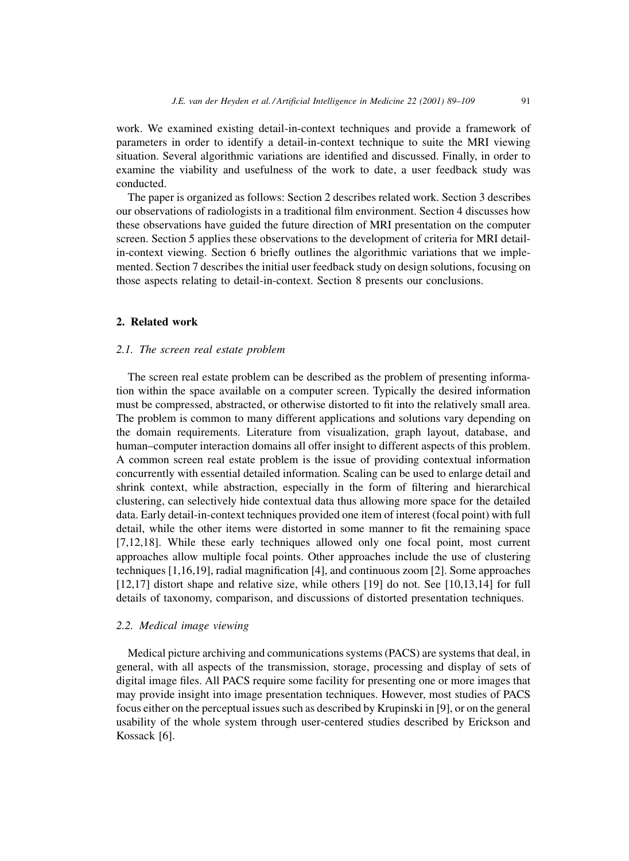work. We examined existing detail-in-context techniques and provide a framework of parameters in order to identify a detail-in-context technique to suite the MRI viewing situation. Several algorithmic variations are identified and discussed. Finally, in order to examine the viability and usefulness of the work to date, a user feedback study was conducted.

The paper is organized as follows: Section 2 describes related work. Section 3 describes our observations of radiologists in a traditional film environment. Section 4 discusses how these observations have guided the future direction of MRI presentation on the computer screen. Section 5 applies these observations to the development of criteria for MRI detailin-context viewing. Section 6 briefly outlines the algorithmic variations that we implemented. Section 7 describes the initial user feedback study on design solutions, focusing on those aspects relating to detail-in-context. Section 8 presents our conclusions.

## 2. Related work

#### 2.1. The screen real estate problem

The screen real estate problem can be described as the problem of presenting information within the space available on a computer screen. Typically the desired information must be compressed, abstracted, or otherwise distorted to fit into the relatively small area. The problem is common to many different applications and solutions vary depending on the domain requirements. Literature from visualization, graph layout, database, and human–computer interaction domains all offer insight to different aspects of this problem. A common screen real estate problem is the issue of providing contextual information concurrently with essential detailed information. Scaling can be used to enlarge detail and shrink context, while abstraction, especially in the form of filtering and hierarchical clustering, can selectively hide contextual data thus allowing more space for the detailed data. Early detail-in-context techniques provided one item of interest (focal point) with full detail, while the other items were distorted in some manner to fit the remaining space  $[7,12,18]$ . While these early techniques allowed only one focal point, most current approaches allow multiple focal points. Other approaches include the use of clustering techniques  $[1,16,19]$ , radial magnification  $[4]$ , and continuous zoom  $[2]$ . Some approaches  $[12,17]$  distort shape and relative size, while others  $[19]$  do not. See  $[10,13,14]$  for full details of taxonomy, comparison, and discussions of distorted presentation techniques.

## 2.2. Medical image viewing

Medical picture archiving and communications systems (PACS) are systems that deal, in general, with all aspects of the transmission, storage, processing and display of sets of digital image files. All PACS require some facility for presenting one or more images that may provide insight into image presentation techniques. However, most studies of PACS focus either on the perceptual issues such as described by Krupinski in [9], or on the general usability of the whole system through user-centered studies described by Erickson and Kossack [6].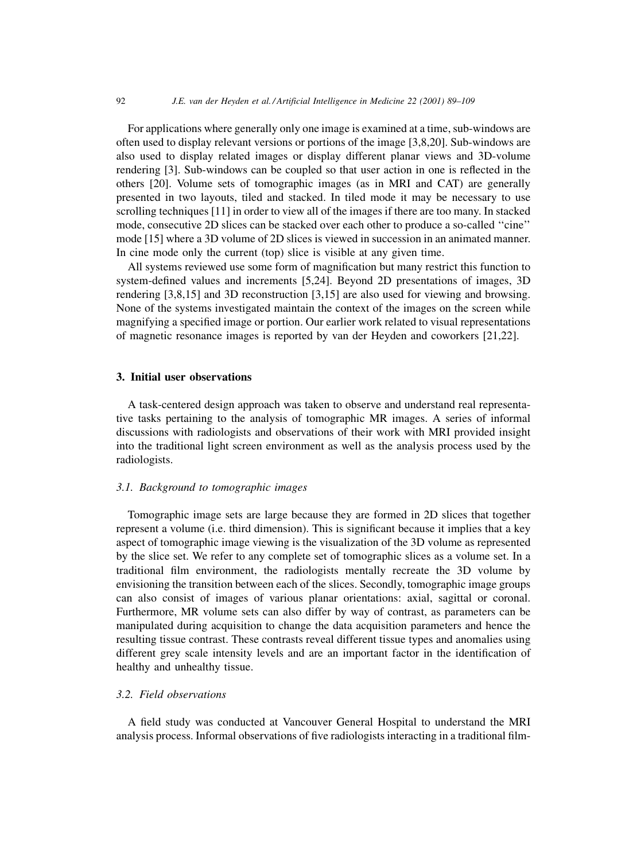For applications where generally only one image is examined at a time, sub-windows are often used to display relevant versions or portions of the image [3,8,20]. Sub-windows are also used to display related images or display different planar views and 3D-volume rendering [3]. Sub-windows can be coupled so that user action in one is reflected in the others [20]. Volume sets of tomographic images (as in MRI and CAT) are generally presented in two layouts, tiled and stacked. In tiled mode it may be necessary to use scrolling techniques  $[11]$  in order to view all of the images if there are too many. In stacked mode, consecutive 2D slices can be stacked over each other to produce a so-called "cine" mode [15] where a 3D volume of 2D slices is viewed in succession in an animated manner. In cine mode only the current (top) slice is visible at any given time.

All systems reviewed use some form of magnification but many restrict this function to system-defined values and increments [5,24]. Beyond 2D presentations of images, 3D rendering  $[3,8,15]$  and 3D reconstruction  $[3,15]$  are also used for viewing and browsing. None of the systems investigated maintain the context of the images on the screen while magnifying a specified image or portion. Our earlier work related to visual representations of magnetic resonance images is reported by van der Heyden and coworkers  $[21,22]$ .

## 3. Initial user observations

A task-centered design approach was taken to observe and understand real representative tasks pertaining to the analysis of tomographic MR images. A series of informal discussions with radiologists and observations of their work with MRI provided insight into the traditional light screen environment as well as the analysis process used by the radiologists.

#### 3.1. Background to tomographic images

Tomographic image sets are large because they are formed in 2D slices that together represent a volume (i.e. third dimension). This is significant because it implies that a key aspect of tomographic image viewing is the visualization of the 3D volume as represented by the slice set. We refer to any complete set of tomographic slices as a volume set. In a traditional film environment, the radiologists mentally recreate the 3D volume by envisioning the transition between each of the slices. Secondly, tomographic image groups can also consist of images of various planar orientations: axial, sagittal or coronal. Furthermore, MR volume sets can also differ by way of contrast, as parameters can be manipulated during acquisition to change the data acquisition parameters and hence the resulting tissue contrast. These contrasts reveal different tissue types and anomalies using different grey scale intensity levels and are an important factor in the identification of healthy and unhealthy tissue.

# 3.2. Field observations

A field study was conducted at Vancouver General Hospital to understand the MRI analysis process. Informal observations of five radiologists interacting in a traditional film-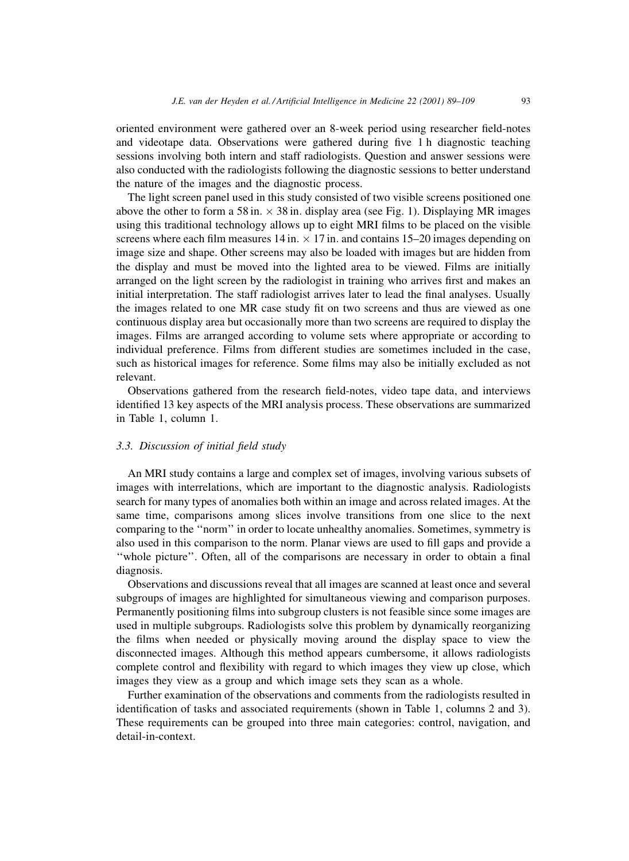oriented environment were gathered over an 8-week period using researcher field-notes and videotape data. Observations were gathered during five 1 h diagnostic teaching sessions involving both intern and staff radiologists. Question and answer sessions were also conducted with the radiologists following the diagnostic sessions to better understand the nature of the images and the diagnostic process.

The light screen panel used in this study consisted of two visible screens positioned one above the other to form a 58 in.  $\times$  38 in. display area (see Fig. 1). Displaying MR images using this traditional technology allows up to eight MRI films to be placed on the visible screens where each film measures 14 in.  $\times$  17 in. and contains 15–20 images depending on image size and shape. Other screens may also be loaded with images but are hidden from the display and must be moved into the lighted area to be viewed. Films are initially arranged on the light screen by the radiologist in training who arrives first and makes an initial interpretation. The staff radiologist arrives later to lead the final analyses. Usually the images related to one MR case study fit on two screens and thus are viewed as one continuous display area but occasionally more than two screens are required to display the images. Films are arranged according to volume sets where appropriate or according to individual preference. Films from different studies are sometimes included in the case, such as historical images for reference. Some films may also be initially excluded as not relevant.

Observations gathered from the research field-notes, video tape data, and interviews identified 13 key aspects of the MRI analysis process. These observations are summarized in Table 1, column 1.

## 3.3. Discussion of initial field study

An MRI study contains a large and complex set of images, involving various subsets of images with interrelations, which are important to the diagnostic analysis. Radiologists search for many types of anomalies both within an image and across related images. At the same time, comparisons among slices involve transitions from one slice to the next comparing to the "norm" in order to locate unhealthy anomalies. Sometimes, symmetry is also used in this comparison to the norm. Planar views are used to fill gaps and provide a "whole picture". Often, all of the comparisons are necessary in order to obtain a final diagnosis.

Observations and discussions reveal that all images are scanned at least once and several subgroups of images are highlighted for simultaneous viewing and comparison purposes. Permanently positioning films into subgroup clusters is not feasible since some images are used in multiple subgroups. Radiologists solve this problem by dynamically reorganizing the films when needed or physically moving around the display space to view the disconnected images. Although this method appears cumbersome, it allows radiologists complete control and flexibility with regard to which images they view up close, which images they view as a group and which image sets they scan as a whole.

Further examination of the observations and comments from the radiologists resulted in identification of tasks and associated requirements (shown in Table 1, columns 2 and 3). These requirements can be grouped into three main categories: control, navigation, and detail-in-context.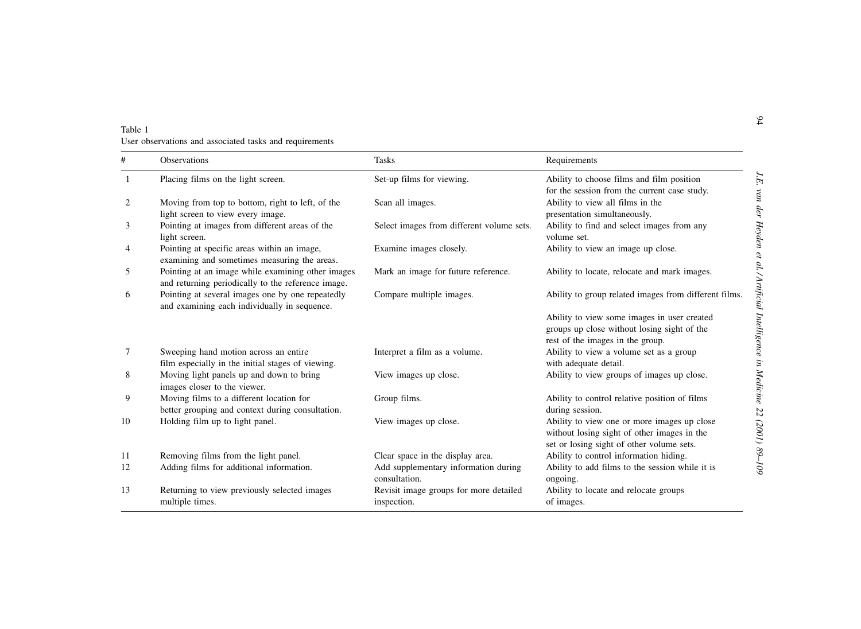# Table 1 User observations and associated tasks and requirements

| $\#$ | <b>Observations</b>                                                                                     | <b>Tasks</b>                                          | Requirements                                                                                                                            |
|------|---------------------------------------------------------------------------------------------------------|-------------------------------------------------------|-----------------------------------------------------------------------------------------------------------------------------------------|
| 1    | Placing films on the light screen.                                                                      | Set-up films for viewing.                             | Ability to choose films and film position<br>for the session from the current case study.                                               |
| 2    | Moving from top to bottom, right to left, of the<br>light screen to view every image.                   | Scan all images.                                      | Ability to view all films in the<br>presentation simultaneously.                                                                        |
| 3    | Pointing at images from different areas of the<br>light screen.                                         | Select images from different volume sets.             | Ability to find and select images from any<br>volume set.                                                                               |
| 4    | Pointing at specific areas within an image,<br>examining and sometimes measuring the areas.             | Examine images closely.                               | Ability to view an image up close.                                                                                                      |
| 5    | Pointing at an image while examining other images<br>and returning periodically to the reference image. | Mark an image for future reference.                   | Ability to locate, relocate and mark images.                                                                                            |
| 6    | Pointing at several images one by one repeatedly<br>and examining each individually in sequence.        | Compare multiple images.                              | Ability to group related images from different films.                                                                                   |
|      |                                                                                                         |                                                       | Ability to view some images in user created<br>groups up close without losing sight of the<br>rest of the images in the group.          |
| 7    | Sweeping hand motion across an entire<br>film especially in the initial stages of viewing.              | Interpret a film as a volume.                         | Ability to view a volume set as a group<br>with adequate detail.                                                                        |
| 8    | Moving light panels up and down to bring<br>images closer to the viewer.                                | View images up close.                                 | Ability to view groups of images up close.                                                                                              |
| 9    | Moving films to a different location for<br>better grouping and context during consultation.            | Group films.                                          | Ability to control relative position of films<br>during session.                                                                        |
| 10   | Holding film up to light panel.                                                                         | View images up close.                                 | Ability to view one or more images up close<br>without losing sight of other images in the<br>set or losing sight of other volume sets. |
| 11   | Removing films from the light panel.                                                                    | Clear space in the display area.                      | Ability to control information hiding.                                                                                                  |
| 12   | Adding films for additional information.                                                                | Add supplementary information during<br>consultation. | Ability to add films to the session while it is<br>ongoing.                                                                             |
| 13   | Returning to view previously selected images<br>multiple times.                                         | Revisit image groups for more detailed<br>inspection. | Ability to locate and relocate groups<br>of images.                                                                                     |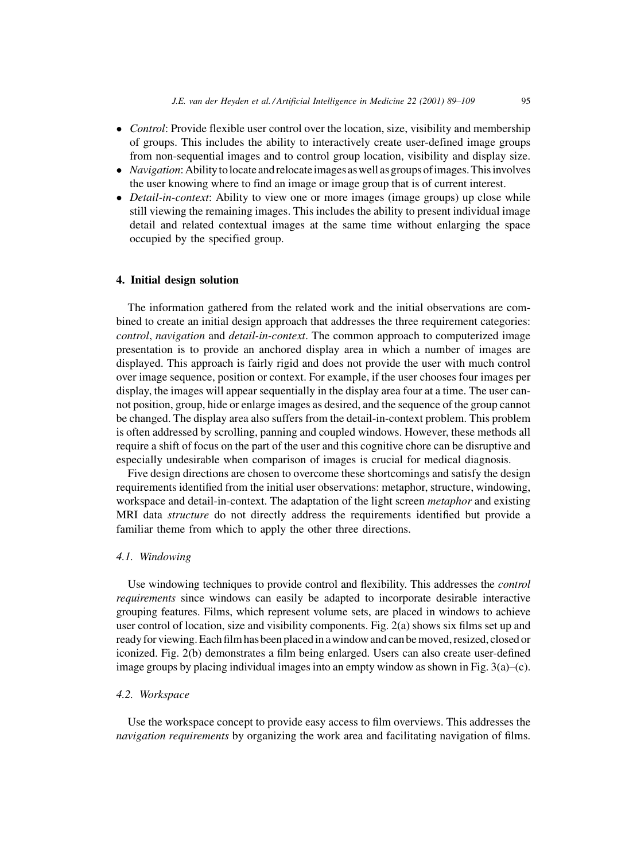- *Control:* Provide flexible user control over the location, size, visibility and membership of groups. This includes the ability to interactively create user-defined image groups from non-sequential images and to control group location, visibility and display size.
- $\bullet$  *Navigation*: Ability to locate and relocate images as well as groups of images. This involves the user knowing where to find an image or image group that is of current interest.
- *Detail-in-context:* Ability to view one or more images (image groups) up close while still viewing the remaining images. This includes the ability to present individual image detail and related contextual images at the same time without enlarging the space occupied by the specified group.

## 4. Initial design solution

The information gathered from the related work and the initial observations are combined to create an initial design approach that addresses the three requirement categories: control, navigation and *detail-in-context*. The common approach to computerized image presentation is to provide an anchored display area in which a number of images are displayed. This approach is fairly rigid and does not provide the user with much control over image sequence, position or context. For example, if the user chooses four images per display, the images will appear sequentially in the display area four at a time. The user cannot position, group, hide or enlarge images as desired, and the sequence of the group cannot be changed. The display area also suffers from the detail-in-context problem. This problem is often addressed by scrolling, panning and coupled windows. However, these methods all require a shift of focus on the part of the user and this cognitive chore can be disruptive and especially undesirable when comparison of images is crucial for medical diagnosis.

Five design directions are chosen to overcome these shortcomings and satisfy the design requirements identified from the initial user observations: metaphor, structure, windowing, workspace and detail-in-context. The adaptation of the light screen *metaphor* and existing MRI data *structure* do not directly address the requirements identified but provide a familiar theme from which to apply the other three directions.

## 4.1. Windowing

Use windowing techniques to provide control and flexibility. This addresses the *control requirements* since windows can easily be adapted to incorporate desirable interactive grouping features. Films, which represent volume sets, are placed in windows to achieve user control of location, size and visibility components. Fig.  $2(a)$  shows six films set up and ready for viewing. Each film has been placed in a window and can be moved, resized, closed or iconized. Fig. 2(b) demonstrates a film being enlarged. Users can also create user-defined image groups by placing individual images into an empty window as shown in Fig.  $3(a)$ –(c).

## 4.2. Workspace

Use the workspace concept to provide easy access to film overviews. This addresses the *navigation requirements* by organizing the work area and facilitating navigation of films.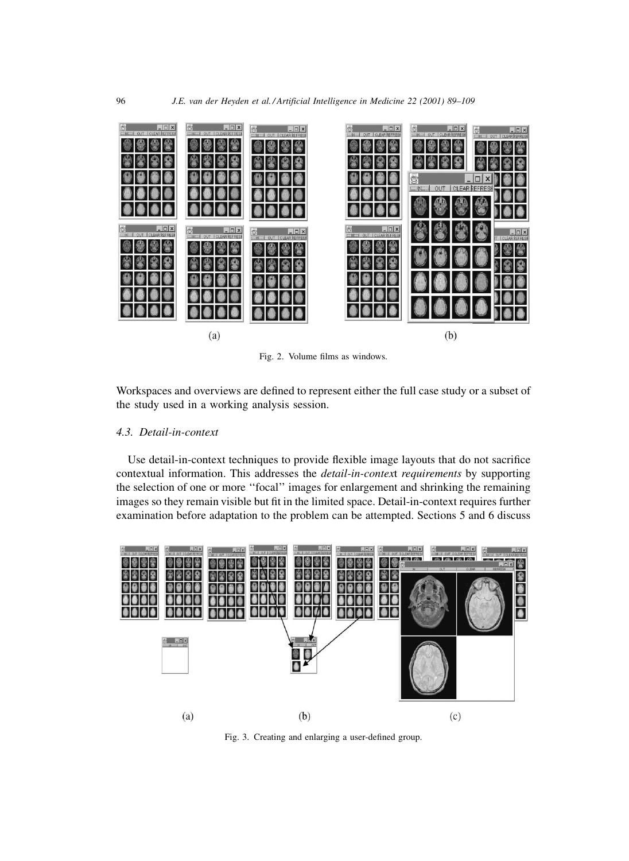

Fig. 2. Volume films as windows.

Workspaces and overviews are defined to represent either the full case study or a subset of the study used in a working analysis session.

# 4.3. Detail-in-context

Use detail-in-context techniques to provide flexible image layouts that do not sacrifice contextual information. This addresses the *detail-in-context requirements* by supporting the selection of one or more "focal" images for enlargement and shrinking the remaining images so they remain visible but fit in the limited space. Detail-in-context requires further examination before adaptation to the problem can be attempted. Sections 5 and 6 discuss



Fig. 3. Creating and enlarging a user-defined group.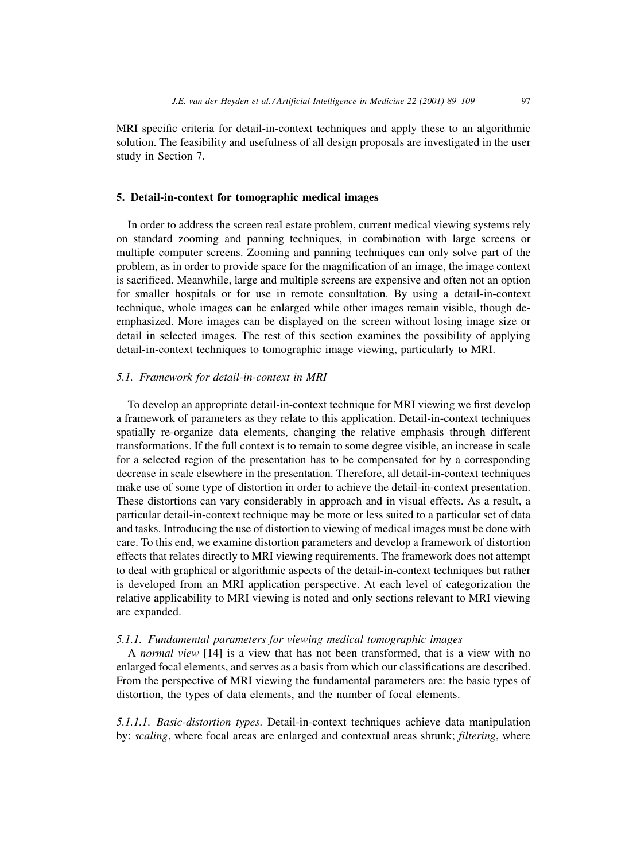MRI specific criteria for detail-in-context techniques and apply these to an algorithmic solution. The feasibility and usefulness of all design proposals are investigated in the user study in Section 7.

## 5. Detail-in-context for tomographic medical images

In order to address the screen real estate problem, current medical viewing systems rely on standard zooming and panning techniques, in combination with large screens or multiple computer screens. Zooming and panning techniques can only solve part of the problem, as in order to provide space for the magnification of an image, the image context is sacrificed. Meanwhile, large and multiple screens are expensive and often not an option for smaller hospitals or for use in remote consultation. By using a detail-in-context technique, whole images can be enlarged while other images remain visible, though deemphasized. More images can be displayed on the screen without losing image size or detail in selected images. The rest of this section examines the possibility of applying detail-in-context techniques to tomographic image viewing, particularly to MRI.

## 5.1. Framework for detail-in-context in MRI

To develop an appropriate detail-in-context technique for MRI viewing we first develop a framework of parameters as they relate to this application. Detail-in-context techniques spatially re-organize data elements, changing the relative emphasis through different transformations. If the full context is to remain to some degree visible, an increase in scale for a selected region of the presentation has to be compensated for by a corresponding decrease in scale elsewhere in the presentation. Therefore, all detail-in-context techniques make use of some type of distortion in order to achieve the detail-in-context presentation. These distortions can vary considerably in approach and in visual effects. As a result, a particular detail-in-context technique may be more or less suited to a particular set of data and tasks. Introducing the use of distortion to viewing of medical images must be done with care. To this end, we examine distortion parameters and develop a framework of distortion effects that relates directly to MRI viewing requirements. The framework does not attempt to deal with graphical or algorithmic aspects of the detail-in-context techniques but rather is developed from an MRI application perspective. At each level of categorization the relative applicability to MRI viewing is noted and only sections relevant to MRI viewing are expanded.

#### 5.1.1. Fundamental parameters for viewing medical tomographic images

A normal view [14] is a view that has not been transformed, that is a view with no enlarged focal elements, and serves as a basis from which our classifications are described. From the perspective of MRI viewing the fundamental parameters are: the basic types of distortion, the types of data elements, and the number of focal elements.

5.1.1.1. Basic-distortion types. Detail-in-context techniques achieve data manipulation by: scaling, where focal areas are enlarged and contextual areas shrunk; filtering, where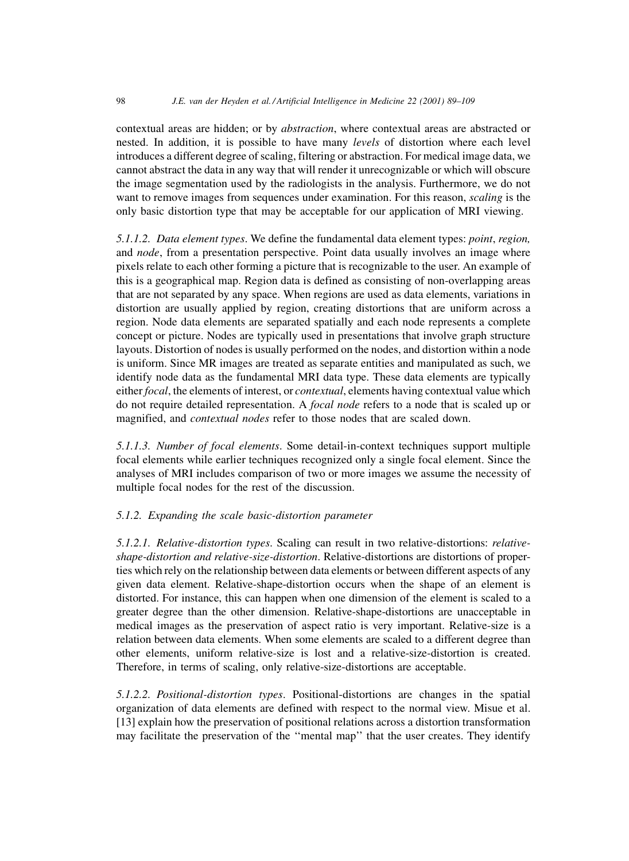98

contextual areas are hidden; or by *abstraction*, where contextual areas are abstracted or nested. In addition, it is possible to have many *levels* of distortion where each level introduces a different degree of scaling, filtering or abstraction. For medical image data, we cannot abstract the data in any way that will render it unrecognizable or which will obscure the image segmentation used by the radiologists in the analysis. Furthermore, we do not want to remove images from sequences under examination. For this reason, *scaling* is the only basic distortion type that may be acceptable for our application of MRI viewing.

5.1.1.2. Data element types. We define the fundamental data element types: point, region, and *node*, from a presentation perspective. Point data usually involves an image where pixels relate to each other forming a picture that is recognizable to the user. An example of this is a geographical map. Region data is defined as consisting of non-overlapping areas that are not separated by any space. When regions are used as data elements, variations in distortion are usually applied by region, creating distortions that are uniform across a region. Node data elements are separated spatially and each node represents a complete concept or picture. Nodes are typically used in presentations that involve graph structure layouts. Distortion of nodes is usually performed on the nodes, and distortion within a node is uniform. Since MR images are treated as separate entities and manipulated as such, we identify node data as the fundamental MRI data type. These data elements are typically either *focal*, the elements of interest, or *contextual*, elements having contextual value which do not require detailed representation. A *focal node* refers to a node that is scaled up or magnified, and *contextual nodes* refer to those nodes that are scaled down.

5.1.1.3. Number of focal elements. Some detail-in-context techniques support multiple focal elements while earlier techniques recognized only a single focal element. Since the analyses of MRI includes comparison of two or more images we assume the necessity of multiple focal nodes for the rest of the discussion.

#### 5.1.2. Expanding the scale basic-distortion parameter

5.1.2.1. Relative-distortion types. Scaling can result in two relative-distortions: relativeshape-distortion and relative-size-distortion. Relative-distortions are distortions of properties which rely on the relationship between data elements or between different aspects of any given data element. Relative-shape-distortion occurs when the shape of an element is distorted. For instance, this can happen when one dimension of the element is scaled to a greater degree than the other dimension. Relative-shape-distortions are unacceptable in medical images as the preservation of aspect ratio is very important. Relative-size is a relation between data elements. When some elements are scaled to a different degree than other elements, uniform relative-size is lost and a relative-size-distortion is created. Therefore, in terms of scaling, only relative-size-distortions are acceptable.

5.1.2.2. Positional-distortion types. Positional-distortions are changes in the spatial organization of data elements are defined with respect to the normal view. Misue et al. [13] explain how the preservation of positional relations across a distortion transformation may facilitate the preservation of the "mental map" that the user creates. They identify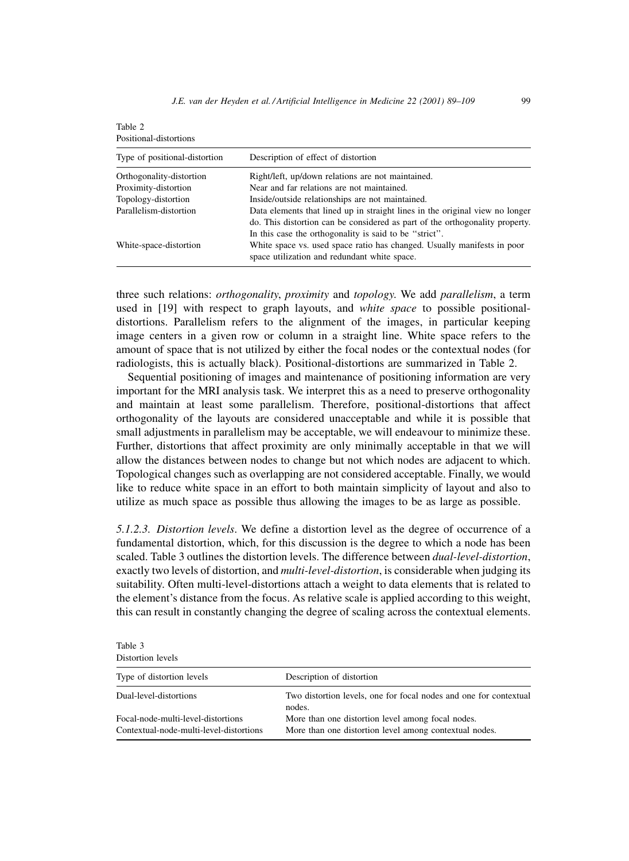| Table 2                |
|------------------------|
| Positional-distortions |

| Type of positional-distortion | Description of effect of distortion                                                                                                                                                                                    |
|-------------------------------|------------------------------------------------------------------------------------------------------------------------------------------------------------------------------------------------------------------------|
| Orthogonality-distortion      | Right/left, up/down relations are not maintained.                                                                                                                                                                      |
| Proximity-distortion          | Near and far relations are not maintained.                                                                                                                                                                             |
| Topology-distortion           | Inside/outside relationships are not maintained.                                                                                                                                                                       |
| Parallelism-distortion        | Data elements that lined up in straight lines in the original view no longer<br>do. This distortion can be considered as part of the orthogonality property.<br>In this case the orthogonality is said to be "strict". |
| White-space-distortion        | White space vs. used space ratio has changed. Usually manifests in poor<br>space utilization and redundant white space.                                                                                                |

three such relations: *orthogonality, proximity* and *topology*. We add *parallelism*, a term used in [19] with respect to graph layouts, and *white space* to possible positionaldistortions. Parallelism refers to the alignment of the images, in particular keeping image centers in a given row or column in a straight line. White space refers to the amount of space that is not utilized by either the focal nodes or the contextual nodes (for radiologists, this is actually black). Positional-distortions are summarized in Table 2.

Sequential positioning of images and maintenance of positioning information are very important for the MRI analysis task. We interpret this as a need to preserve orthogonality and maintain at least some parallelism. Therefore, positional-distortions that affect orthogonality of the layouts are considered unacceptable and while it is possible that small adjustments in parallelism may be acceptable, we will endeavour to minimize these. Further, distortions that affect proximity are only minimally acceptable in that we will allow the distances between nodes to change but not which nodes are adjacent to which. Topological changes such as overlapping are not considered acceptable. Finally, we would like to reduce white space in an effort to both maintain simplicity of layout and also to utilize as much space as possible thus allowing the images to be as large as possible.

5.1.2.3. Distortion levels. We define a distortion level as the degree of occurrence of a fundamental distortion, which, for this discussion is the degree to which a node has been scaled. Table 3 outlines the distortion levels. The difference between *dual-level-distortion*, exactly two levels of distortion, and *multi-level-distortion*, is considerable when judging its suitability. Often multi-level-distortions attach a weight to data elements that is related to the element's distance from the focus. As relative scale is applied according to this weight, this can result in constantly changing the degree of scaling across the contextual elements.

| Table 3<br>Distortion levels                                                  |                                                                                                             |  |  |  |  |  |
|-------------------------------------------------------------------------------|-------------------------------------------------------------------------------------------------------------|--|--|--|--|--|
| Type of distortion levels                                                     | Description of distortion                                                                                   |  |  |  |  |  |
| Dual-level-distortions                                                        | Two distortion levels, one for focal nodes and one for contextual<br>nodes.                                 |  |  |  |  |  |
| Focal-node-multi-level-distortions<br>Contextual-node-multi-level-distortions | More than one distortion level among focal nodes.<br>More than one distortion level among contextual nodes. |  |  |  |  |  |

 $QQ$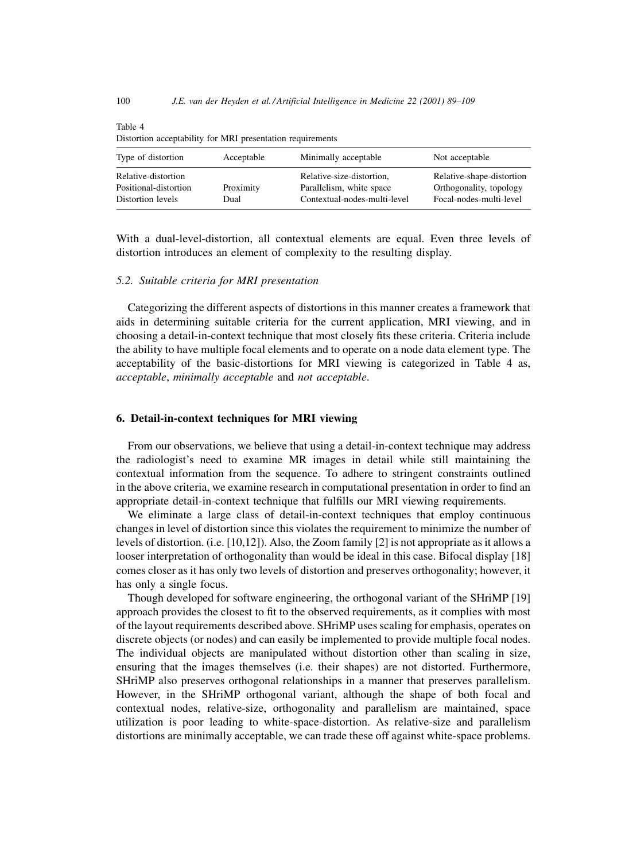| Distortion acceptability for MRI presentation requirements                 |           |                                                        |                         |  |  |  |  |
|----------------------------------------------------------------------------|-----------|--------------------------------------------------------|-------------------------|--|--|--|--|
| Type of distortion<br>Minimally acceptable<br>Acceptable<br>Not acceptable |           |                                                        |                         |  |  |  |  |
| Relative-distortion                                                        |           | Relative-shape-distortion<br>Relative-size-distortion. |                         |  |  |  |  |
| Positional-distortion                                                      | Proximity | Parallelism, white space                               | Orthogonality, topology |  |  |  |  |
| Distortion levels                                                          | Dual      | Contextual-nodes-multi-level                           | Focal-nodes-multi-level |  |  |  |  |

| Table 4 |                                                            |  |  |  |
|---------|------------------------------------------------------------|--|--|--|
|         | Distortion acceptability for MRI presentation requirements |  |  |  |

With a dual-level-distortion, all contextual elements are equal. Even three levels of distortion introduces an element of complexity to the resulting display.

#### 5.2. Suitable criteria for MRI presentation

Categorizing the different aspects of distortions in this manner creates a framework that aids in determining suitable criteria for the current application, MRI viewing, and in choosing a detail-in-context technique that most closely fits these criteria. Criteria include the ability to have multiple focal elements and to operate on a node data element type. The acceptability of the basic-distortions for MRI viewing is categorized in Table 4 as, acceptable, minimally acceptable and not acceptable.

## 6. Detail-in-context techniques for MRI viewing

From our observations, we believe that using a detail-in-context technique may address the radiologist's need to examine MR images in detail while still maintaining the contextual information from the sequence. To adhere to stringent constraints outlined in the above criteria, we examine research in computational presentation in order to find an appropriate detail-in-context technique that fulfills our MRI viewing requirements.

We eliminate a large class of detail-in-context techniques that employ continuous changes in level of distortion since this violates the requirement to minimize the number of levels of distortion. (i.e. [10,12]). Also, the Zoom family [2] is not appropriate as it allows a looser interpretation of orthogonality than would be ideal in this case. Bifocal display [18] comes closer as it has only two levels of distortion and preserves orthogonality; however, it has only a single focus.

Though developed for software engineering, the orthogonal variant of the SHriMP [19] approach provides the closest to fit to the observed requirements, as it complies with most of the layout requirements described above. SHriMP uses scaling for emphasis, operates on discrete objects (or nodes) and can easily be implemented to provide multiple focal nodes. The individual objects are manipulated without distortion other than scaling in size, ensuring that the images themselves (i.e. their shapes) are not distorted. Furthermore, SHriMP also preserves orthogonal relationships in a manner that preserves parallelism. However, in the SHriMP orthogonal variant, although the shape of both focal and contextual nodes, relative-size, orthogonality and parallelism are maintained, space utilization is poor leading to white-space-distortion. As relative-size and parallelism distortions are minimally acceptable, we can trade these off against white-space problems.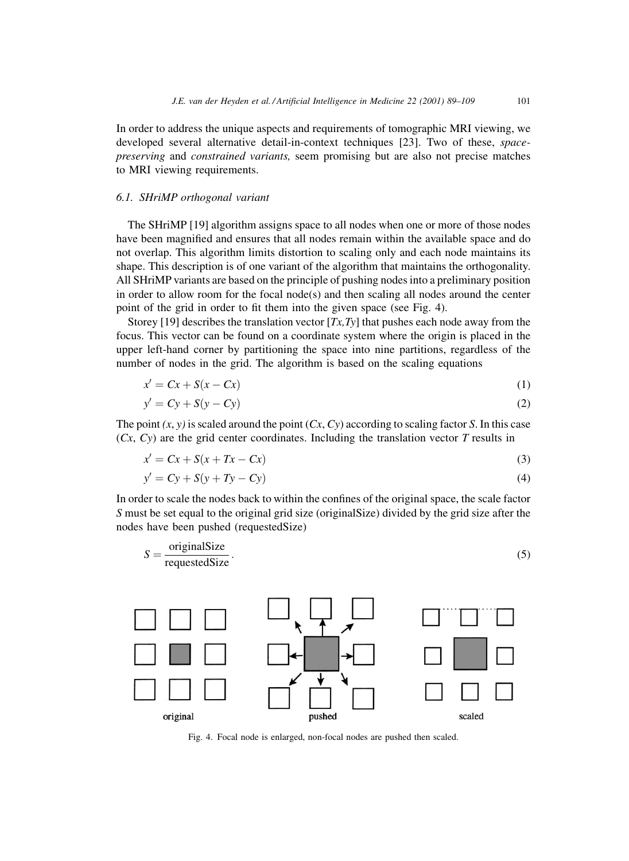In order to address the unique aspects and requirements of tomographic MRI viewing, we developed several alternative detail-in-context techniques [23]. Two of these, *space*preserving and constrained variants, seem promising but are also not precise matches to MRI viewing requirements.

## 6.1. SHriMP orthogonal variant

The SHriMP [19] algorithm assigns space to all nodes when one or more of those nodes have been magnified and ensures that all nodes remain within the available space and do not overlap. This algorithm limits distortion to scaling only and each node maintains its shape. This description is of one variant of the algorithm that maintains the orthogonality. All SHriMP variants are based on the principle of pushing nodes into a preliminary position in order to allow room for the focal node(s) and then scaling all nodes around the center point of the grid in order to fit them into the given space (see Fig. 4).

Storey [19] describes the translation vector  $[Tx, Ty]$  that pushes each node away from the focus. This vector can be found on a coordinate system where the origin is placed in the upper left-hand corner by partitioning the space into nine partitions, regardless of the number of nodes in the grid. The algorithm is based on the scaling equations

$$
x' = Cx + S(x - Cx) \tag{1}
$$

$$
y' = Cy + S(y - Cy) \tag{2}
$$

The point  $(x, y)$  is scaled around the point  $(Cx, Cy)$  according to scaling factor S. In this case  $(Cx, Cy)$  are the grid center coordinates. Including the translation vector T results in

$$
x' = Cx + S(x + Tx - Cx) \tag{3}
$$

$$
y' = Cy + S(y + Ty - Cy) \tag{4}
$$

In order to scale the nodes back to within the confines of the original space, the scale factor S must be set equal to the original grid size (original Size) divided by the grid size after the nodes have been pushed (requestedSize)



Fig. 4. Focal node is enlarged, non-focal nodes are pushed then scaled.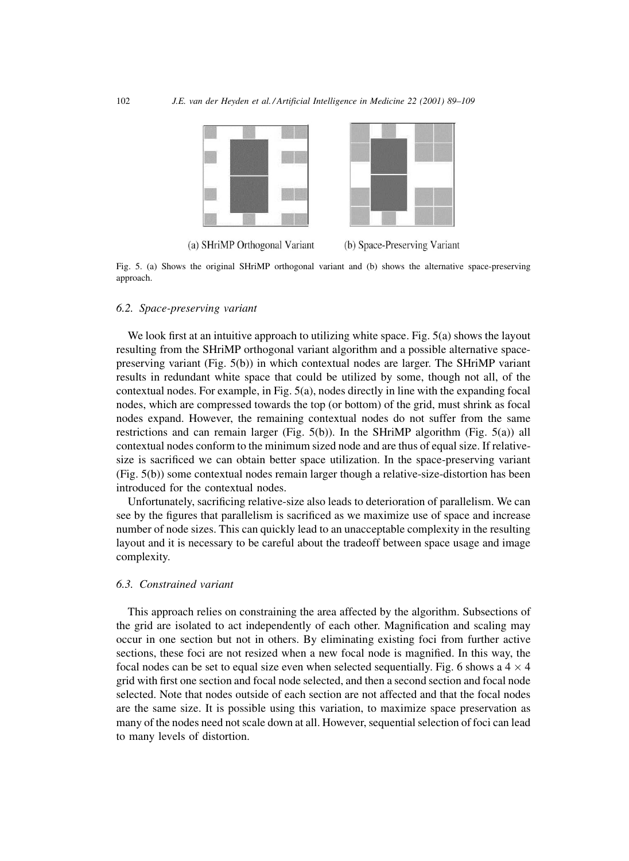

Fig. 5. (a) Shows the original SHriMP orthogonal variant and (b) shows the alternative space-preserving approach.

#### 6.2. Space-preserving variant

We look first at an intuitive approach to utilizing white space. Fig. 5(a) shows the layout resulting from the SHriMP orthogonal variant algorithm and a possible alternative spacepreserving variant (Fig.  $5(b)$ ) in which contextual nodes are larger. The SHriMP variant results in redundant white space that could be utilized by some, though not all, of the contextual nodes. For example, in Fig. 5(a), nodes directly in line with the expanding focal nodes, which are compressed towards the top (or bottom) of the grid, must shrink as focal nodes expand. However, the remaining contextual nodes do not suffer from the same restrictions and can remain larger (Fig.  $5(b)$ ). In the SHriMP algorithm (Fig.  $5(a)$ ) all contextual nodes conform to the minimum sized node and are thus of equal size. If relativesize is sacrificed we can obtain better space utilization. In the space-preserving variant (Fig. 5(b)) some contextual nodes remain larger though a relative-size-distortion has been introduced for the contextual nodes.

Unfortunately, sacrificing relative-size also leads to deterioration of parallelism. We can see by the figures that parallelism is sacrificed as we maximize use of space and increase number of node sizes. This can quickly lead to an unacceptable complexity in the resulting layout and it is necessary to be careful about the tradeoff between space usage and image complexity.

#### 6.3. Constrained variant

This approach relies on constraining the area affected by the algorithm. Subsections of the grid are isolated to act independently of each other. Magnification and scaling may occur in one section but not in others. By eliminating existing foci from further active sections, these foci are not resized when a new focal node is magnified. In this way, the focal nodes can be set to equal size even when selected sequentially. Fig. 6 shows a  $4 \times 4$ grid with first one section and focal node selected, and then a second section and focal node selected. Note that nodes outside of each section are not affected and that the focal nodes are the same size. It is possible using this variation, to maximize space preservation as many of the nodes need not scale down at all. However, sequential selection of foci can lead to many levels of distortion.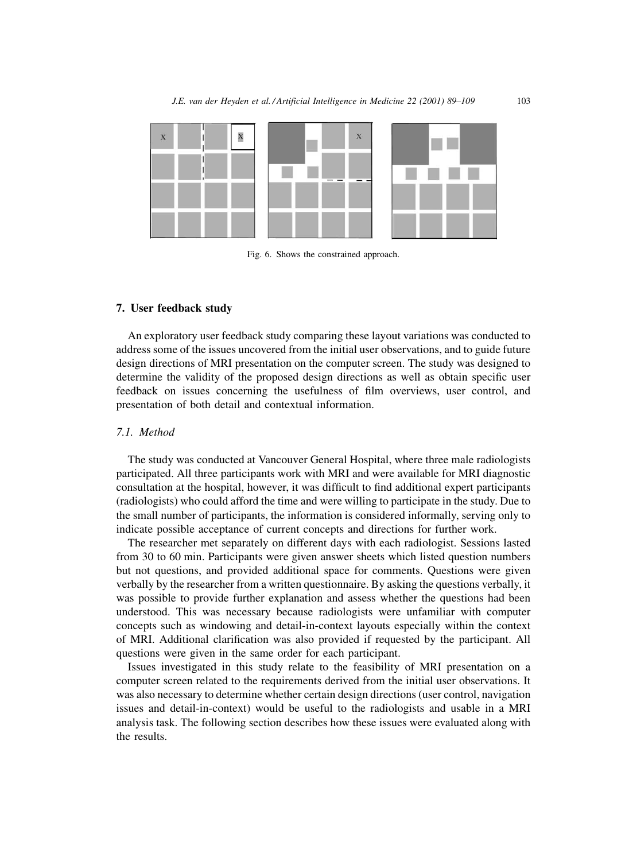

Fig. 6. Shows the constrained approach.

#### 7. User feedback study

An exploratory user feedback study comparing these layout variations was conducted to address some of the issues uncovered from the initial user observations, and to guide future design directions of MRI presentation on the computer screen. The study was designed to determine the validity of the proposed design directions as well as obtain specific user feedback on issues concerning the usefulness of film overviews, user control, and presentation of both detail and contextual information.

#### 7.1. Method

The study was conducted at Vancouver General Hospital, where three male radiologists participated. All three participants work with MRI and were available for MRI diagnostic consultation at the hospital, however, it was difficult to find additional expert participants (radiologists) who could afford the time and were willing to participate in the study. Due to the small number of participants, the information is considered informally, serving only to indicate possible acceptance of current concepts and directions for further work.

The researcher met separately on different days with each radiologist. Sessions lasted from 30 to 60 min. Participants were given answer sheets which listed question numbers but not questions, and provided additional space for comments. Questions were given verbally by the researcher from a written questionnaire. By asking the questions verbally, it was possible to provide further explanation and assess whether the questions had been understood. This was necessary because radiologists were unfamiliar with computer concepts such as windowing and detail-in-context layouts especially within the context of MRI. Additional clarification was also provided if requested by the participant. All questions were given in the same order for each participant.

Issues investigated in this study relate to the feasibility of MRI presentation on a computer screen related to the requirements derived from the initial user observations. It was also necessary to determine whether certain design directions (user control, navigation issues and detail-in-context) would be useful to the radiologists and usable in a MRI analysis task. The following section describes how these issues were evaluated along with the results.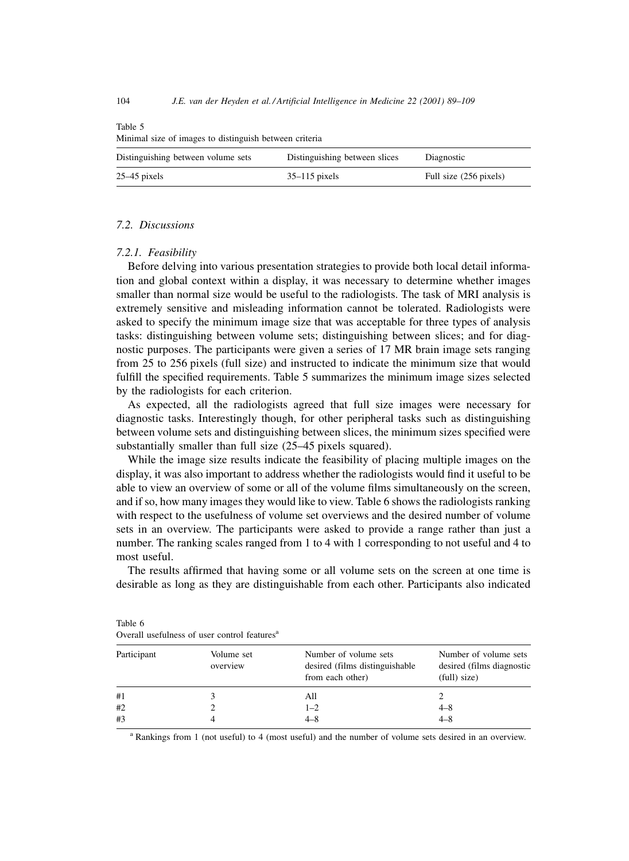| .<br>Minimal size of images to distinguish between criteria                       |                 |                        |  |  |  |  |  |
|-----------------------------------------------------------------------------------|-----------------|------------------------|--|--|--|--|--|
| Distinguishing between slices<br>Distinguishing between volume sets<br>Diagnostic |                 |                        |  |  |  |  |  |
| $25-45$ pixels                                                                    | $35-115$ pixels | Full size (256 pixels) |  |  |  |  |  |

## Table 5

## 7.2. Discussions

#### 7.2.1. Feasibility

Before delving into various presentation strategies to provide both local detail information and global context within a display, it was necessary to determine whether images smaller than normal size would be useful to the radiologists. The task of MRI analysis is extremely sensitive and misleading information cannot be tolerated. Radiologists were asked to specify the minimum image size that was acceptable for three types of analysis tasks: distinguishing between volume sets; distinguishing between slices; and for diagnostic purposes. The participants were given a series of 17 MR brain image sets ranging from 25 to 256 pixels (full size) and instructed to indicate the minimum size that would fulfill the specified requirements. Table 5 summarizes the minimum image sizes selected by the radiologists for each criterion.

As expected, all the radiologists agreed that full size images were necessary for diagnostic tasks. Interestingly though, for other peripheral tasks such as distinguishing between volume sets and distinguishing between slices, the minimum sizes specified were substantially smaller than full size (25–45 pixels squared).

While the image size results indicate the feasibility of placing multiple images on the display, it was also important to address whether the radiologists would find it useful to be able to view an overview of some or all of the volume films simultaneously on the screen, and if so, how many images they would like to view. Table 6 shows the radiologists ranking with respect to the usefulness of volume set overviews and the desired number of volume sets in an overview. The participants were asked to provide a range rather than just a number. The ranking scales ranged from 1 to 4 with 1 corresponding to not useful and 4 to most useful.

The results affirmed that having some or all volume sets on the screen at one time is desirable as long as they are distinguishable from each other. Participants also indicated

| Participant | Volume set<br>overview | Number of volume sets<br>desired (films distinguishable)<br>from each other) | Number of volume sets<br>desired (films diagnostic)<br>(full) size) |  |
|-------------|------------------------|------------------------------------------------------------------------------|---------------------------------------------------------------------|--|
| #1          |                        | All                                                                          |                                                                     |  |
| #2          |                        | $1 - 2$                                                                      | $4 - 8$                                                             |  |
| #3          |                        | 4–8                                                                          | 4–8                                                                 |  |

Table 6 Overall usefulness of user control features<sup>a</sup>

<sup>a</sup> Rankings from 1 (not useful) to 4 (most useful) and the number of volume sets desired in an overview.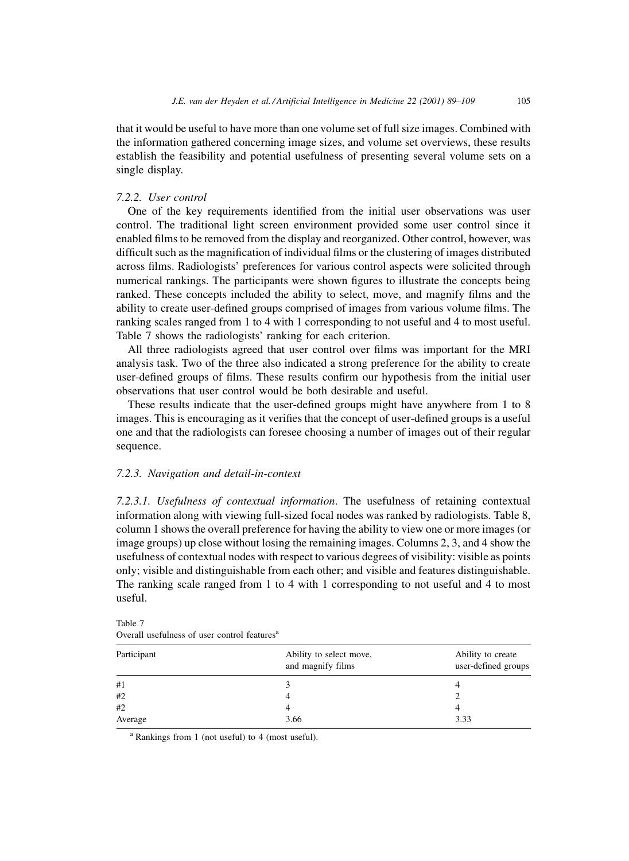that it would be useful to have more than one volume set of full size images. Combined with the information gathered concerning image sizes, and volume set overviews, these results establish the feasibility and potential usefulness of presenting several volume sets on a single display.

### 7.2.2. User control

One of the key requirements identified from the initial user observations was user control. The traditional light screen environment provided some user control since it enabled films to be removed from the display and reorganized. Other control, however, was difficult such as the magnification of individual films or the clustering of images distributed across films. Radiologists' preferences for various control aspects were solicited through numerical rankings. The participants were shown figures to illustrate the concepts being ranked. These concepts included the ability to select, move, and magnify films and the ability to create user-defined groups comprised of images from various volume films. The ranking scales ranged from 1 to 4 with 1 corresponding to not useful and 4 to most useful. Table 7 shows the radiologists' ranking for each criterion.

All three radiologists agreed that user control over films was important for the MRI analysis task. Two of the three also indicated a strong preference for the ability to create user-defined groups of films. These results confirm our hypothesis from the initial user observations that user control would be both desirable and useful.

These results indicate that the user-defined groups might have anywhere from 1 to 8 images. This is encouraging as it verifies that the concept of user-defined groups is a useful one and that the radiologists can foresee choosing a number of images out of their regular sequence.

## 7.2.3. Navigation and detail-in-context

7.2.3.1. Usefulness of contextual information. The usefulness of retaining contextual information along with viewing full-sized focal nodes was ranked by radiologists. Table 8, column 1 shows the overall preference for having the ability to view one or more images (or image groups) up close without losing the remaining images. Columns 2, 3, and 4 show the usefulness of contextual nodes with respect to various degrees of visibility: visible as points only; visible and distinguishable from each other; and visible and features distinguishable. The ranking scale ranged from 1 to 4 with 1 corresponding to not useful and 4 to most useful.

| Participant | Ability to select move,<br>and magnify films | Ability to create<br>user-defined groups |
|-------------|----------------------------------------------|------------------------------------------|
| #1          |                                              |                                          |
| #2          |                                              |                                          |
| #2          |                                              |                                          |
| Average     | 3.66                                         | 3.33                                     |

Table 7 Overall usefulness of user control features<sup>a</sup>

<sup>a</sup> Rankings from 1 (not useful) to 4 (most useful).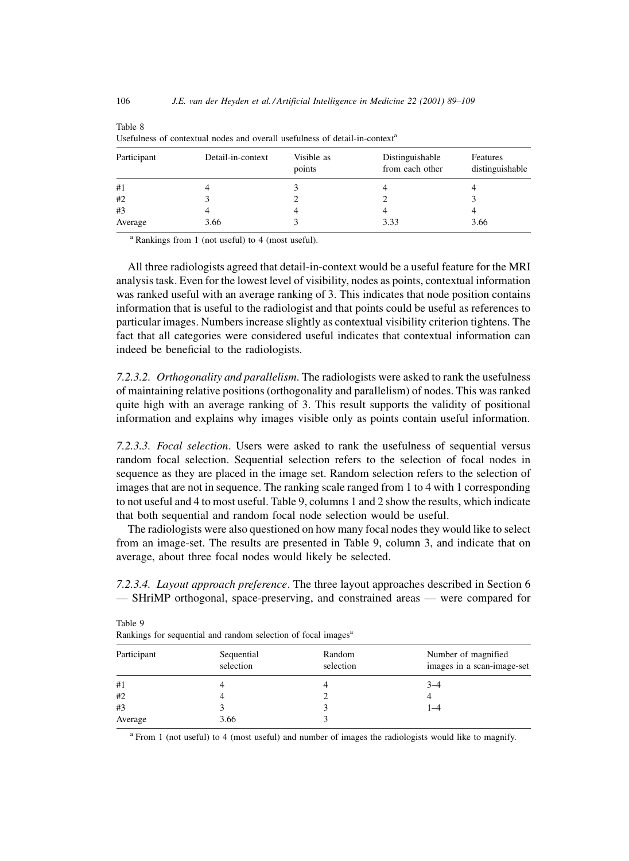| Participant | Detail-in-context | Visible as<br>points | Distinguishable<br>from each other | Features<br>distinguishable |  |  |  |
|-------------|-------------------|----------------------|------------------------------------|-----------------------------|--|--|--|
| #1          | 4                 |                      |                                    |                             |  |  |  |
| #2          |                   |                      |                                    |                             |  |  |  |
| #3          |                   |                      |                                    |                             |  |  |  |
| Average     | 3.66              |                      | 3.33                               | 3.66                        |  |  |  |

| lable 8                                                                                 |  |  |  |  |
|-----------------------------------------------------------------------------------------|--|--|--|--|
| Usefulness of contextual nodes and overall usefulness of detail-in-context <sup>4</sup> |  |  |  |  |

 $^{\rm a}$  Rankings from 1 (not useful) to 4 (most useful).

All three radiologists agreed that detail-in-context would be a useful feature for the MRI analysis task. Even for the lowest level of visibility, nodes as points, contextual information was ranked useful with an average ranking of 3. This indicates that node position contains information that is useful to the radiologist and that points could be useful as references to particular images. Numbers increase slightly as contextual visibility criterion tightens. The fact that all categories were considered useful indicates that contextual information can indeed be beneficial to the radiologists.

7.2.3.2. Orthogonality and parallelism. The radiologists were asked to rank the usefulness of maintaining relative positions (orthogonality and parallelism) of nodes. This was ranked quite high with an average ranking of 3. This result supports the validity of positional information and explains why images visible only as points contain useful information.

7.2.3.3. Focal selection. Users were asked to rank the usefulness of sequential versus random focal selection. Sequential selection refers to the selection of focal nodes in sequence as they are placed in the image set. Random selection refers to the selection of images that are not in sequence. The ranking scale ranged from 1 to 4 with 1 corresponding to not useful and 4 to most useful. Table 9, columns 1 and 2 show the results, which indicate that both sequential and random focal node selection would be useful.

The radiologists were also questioned on how many focal nodes they would like to select from an image-set. The results are presented in Table 9, column 3, and indicate that on average, about three focal nodes would likely be selected.

7.2.3.4. Layout approach preference. The three layout approaches described in Section 6 - SHriMP orthogonal, space-preserving, and constrained areas - were compared for

|             | <b>Runnings</b> for sequential and random selection of focal mages |                     |                                                   |  |  |  |  |  |
|-------------|--------------------------------------------------------------------|---------------------|---------------------------------------------------|--|--|--|--|--|
| Participant | Sequential<br>selection                                            | Random<br>selection | Number of magnified<br>images in a scan-image-set |  |  |  |  |  |
| #1          |                                                                    |                     | $3 - 4$                                           |  |  |  |  |  |
| #2          |                                                                    |                     |                                                   |  |  |  |  |  |
| #3          |                                                                    |                     |                                                   |  |  |  |  |  |
| Average     | 3.66                                                               |                     |                                                   |  |  |  |  |  |

Table 9 Rankings for sequential and random selection of focal images<sup>a</sup>

<sup>a</sup> From 1 (not useful) to 4 (most useful) and number of images the radiologists would like to magnify.

 $\overline{r}$  ii  $\overline{a}$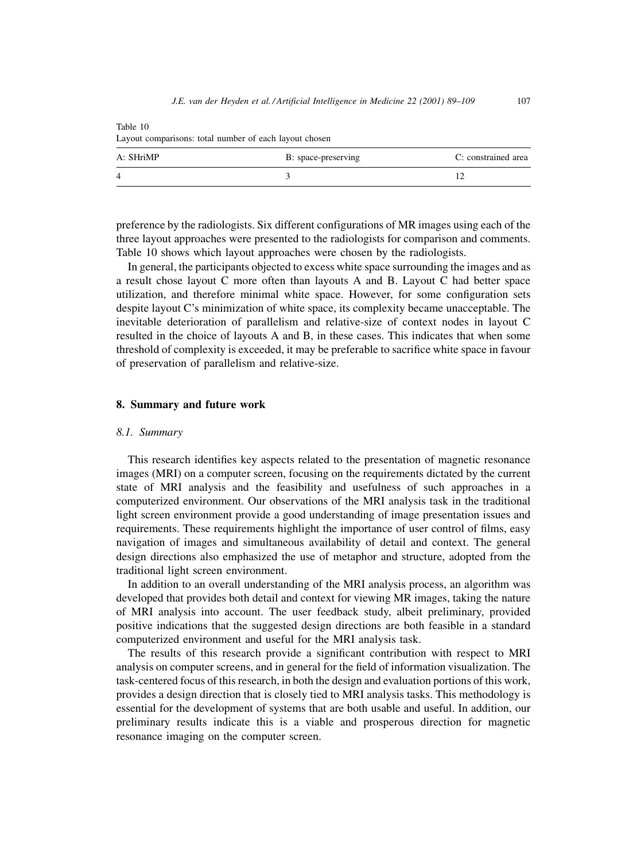| Layout comparisons: total number of each layout chosen |                     |                     |
|--------------------------------------------------------|---------------------|---------------------|
| A: SHriMP                                              | B: space-preserving | C: constrained area |
|                                                        |                     |                     |

preference by the radiologists. Six different configurations of MR images using each of the three layout approaches were presented to the radiologists for comparison and comments. Table 10 shows which layout approaches were chosen by the radiologists.

In general, the participants objected to excess white space surrounding the images and as a result chose layout C more often than layouts A and B. Layout C had better space utilization, and therefore minimal white space. However, for some configuration sets despite layout C's minimization of white space, its complexity became unacceptable. The inevitable deterioration of parallelism and relative-size of context nodes in layout C resulted in the choice of layouts A and B, in these cases. This indicates that when some threshold of complexity is exceeded, it may be preferable to sacrifice white space in favour of preservation of parallelism and relative-size.

#### 8. Summary and future work

#### 8.1. Summary

Table 10

This research identifies key aspects related to the presentation of magnetic resonance images (MRI) on a computer screen, focusing on the requirements dictated by the current state of MRI analysis and the feasibility and usefulness of such approaches in a computerized environment. Our observations of the MRI analysis task in the traditional light screen environment provide a good understanding of image presentation issues and requirements. These requirements highlight the importance of user control of films, easy navigation of images and simultaneous availability of detail and context. The general design directions also emphasized the use of metaphor and structure, adopted from the traditional light screen environment.

In addition to an overall understanding of the MRI analysis process, an algorithm was developed that provides both detail and context for viewing MR images, taking the nature of MRI analysis into account. The user feedback study, albeit preliminary, provided positive indications that the suggested design directions are both feasible in a standard computerized environment and useful for the MRI analysis task.

The results of this research provide a significant contribution with respect to MRI analysis on computer screens, and in general for the field of information visualization. The task-centered focus of this research, in both the design and evaluation portions of this work, provides a design direction that is closely tied to MRI analysis tasks. This methodology is essential for the development of systems that are both usable and useful. In addition, our preliminary results indicate this is a viable and prosperous direction for magnetic resonance imaging on the computer screen.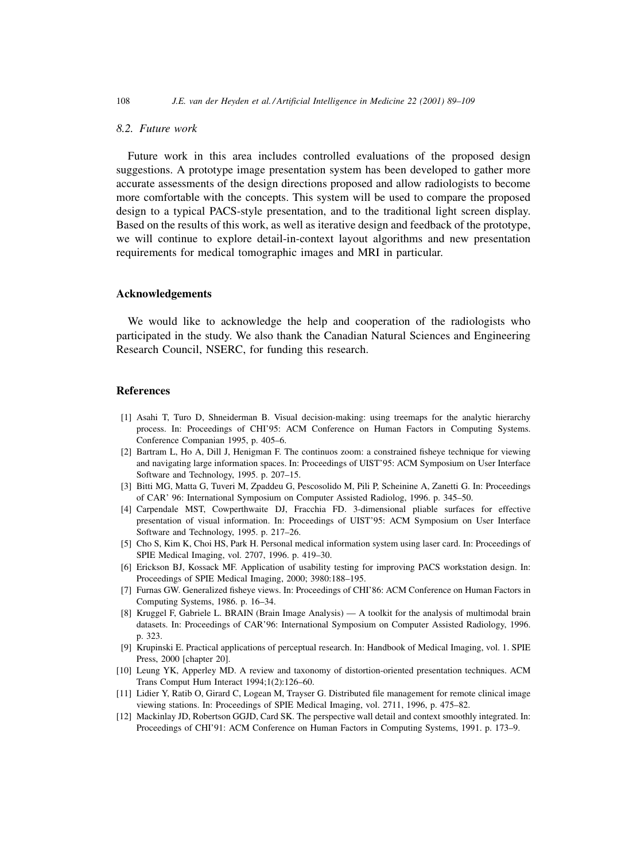#### 8.2. Future work

108

Future work in this area includes controlled evaluations of the proposed design suggestions. A prototype image presentation system has been developed to gather more accurate assessments of the design directions proposed and allow radiologists to become more comfortable with the concepts. This system will be used to compare the proposed design to a typical PACS-style presentation, and to the traditional light screen display. Based on the results of this work, as well as iterative design and feedback of the prototype, we will continue to explore detail-in-context layout algorithms and new presentation requirements for medical tomographic images and MRI in particular.

#### Acknowledgements

We would like to acknowledge the help and cooperation of the radiologists who participated in the study. We also thank the Canadian Natural Sciences and Engineering Research Council, NSERC, for funding this research.

## **References**

- [1] Asahi T, Turo D, Shneiderman B. Visual decision-making: using treemaps for the analytic hierarchy process. In: Proceedings of CHI'95: ACM Conference on Human Factors in Computing Systems. Conference Companian 1995, p. 405-6.
- [2] Bartram L, Ho A, Dill J, Henigman F. The continuos zoom: a constrained fisheye technique for viewing and navigating large information spaces. In: Proceedings of UIST'95: ACM Symposium on User Interface Software and Technology, 1995. p. 207-15.
- [3] Bitti MG, Matta G, Tuveri M, Zpaddeu G, Pescosolido M, Pili P, Scheinine A, Zanetti G. In: Proceedings of CAR' 96: International Symposium on Computer Assisted Radiolog, 1996. p. 345–50.
- [4] Carpendale MST, Cowperthwaite DJ, Fracchia FD. 3-dimensional pliable surfaces for effective presentation of visual information. In: Proceedings of UIST'95: ACM Symposium on User Interface Software and Technology, 1995. p. 217-26.
- [5] Cho S, Kim K, Choi HS, Park H. Personal medical information system using laser card. In: Proceedings of SPIE Medical Imaging, vol. 2707, 1996. p. 419-30.
- [6] Erickson BJ, Kossack MF. Application of usability testing for improving PACS workstation design. In: Proceedings of SPIE Medical Imaging, 2000; 3980:188-195.
- [7] Furnas GW. Generalized fisheye views. In: Proceedings of CHI'86: ACM Conference on Human Factors in Computing Systems, 1986. p. 16-34.
- [8] Kruggel F, Gabriele L. BRAIN (Brain Image Analysis) A toolkit for the analysis of multimodal brain datasets. In: Proceedings of CAR'96: International Symposium on Computer Assisted Radiology, 1996. p. 323.
- [9] Krupinski E. Practical applications of perceptual research. In: Handbook of Medical Imaging, vol. 1. SPIE Press, 2000 [chapter 20].
- [10] Leung YK, Apperley MD. A review and taxonomy of distortion-oriented presentation techniques. ACM Trans Comput Hum Interact 1994;1(2):126-60.
- [11] Lidier Y, Ratib O, Girard C, Logean M, Trayser G. Distributed file management for remote clinical image viewing stations. In: Proceedings of SPIE Medical Imaging, vol. 2711, 1996, p. 475-82.
- [12] Mackinlay JD, Robertson GGJD, Card SK. The perspective wall detail and context smoothly integrated. In: Proceedings of CHI'91: ACM Conference on Human Factors in Computing Systems, 1991. p. 173-9.